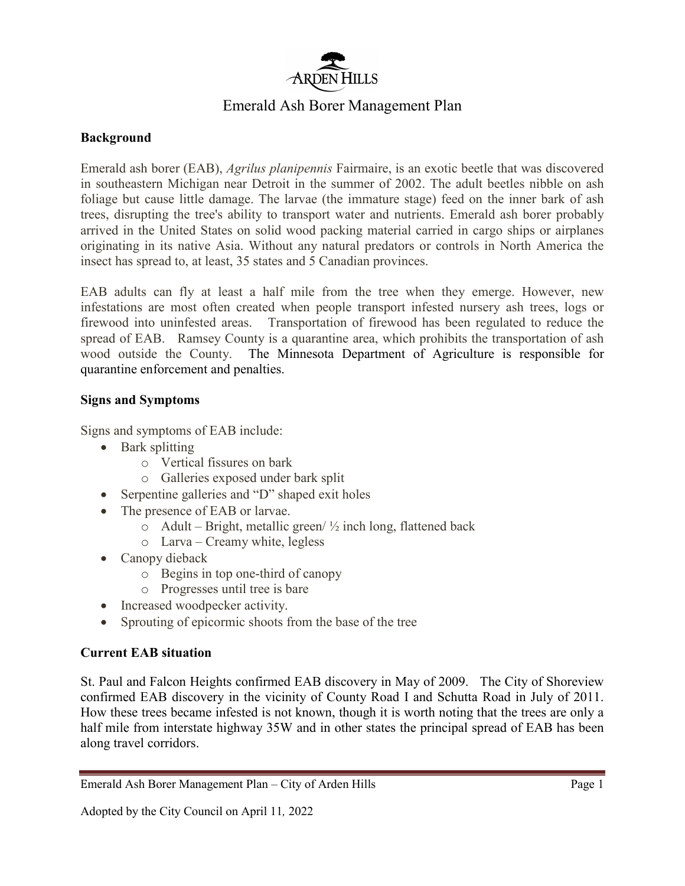

# Emerald Ash Borer Management Plan

### **Background**

Emerald ash borer (EAB), *Agrilus planipennis* Fairmaire, is an exotic beetle that was discovered in southeastern Michigan near Detroit in the summer of 2002. The adult beetles nibble on ash foliage but cause little damage. The larvae (the immature stage) feed on the inner bark of ash trees, disrupting the tree's ability to transport water and nutrients. Emerald ash borer probably arrived in the United States on solid wood packing material carried in cargo ships or airplanes originating in its native Asia. Without any natural predators or controls in North America the insect has spread to, at least, 35 states and 5 Canadian provinces.

EAB adults can fly at least a half mile from the tree when they emerge. However, new infestations are most often created when people transport infested nursery ash trees, logs or firewood into uninfested areas. Transportation of firewood has been regulated to reduce the spread of EAB. Ramsey County is a quarantine area, which prohibits the transportation of ash wood outside the County. The Minnesota Department of Agriculture is responsible for quarantine enforcement and penalties.

#### **Signs and Symptoms**

Signs and symptoms of EAB include:

- Bark splitting
	- o Vertical fissures on bark
	- o Galleries exposed under bark split
- Serpentine galleries and "D" shaped exit holes
- The presence of EAB or larvae.
	- $\circ$  Adult Bright, metallic green/  $\frac{1}{2}$  inch long, flattened back
	- o Larva Creamy white, legless
- Canopy dieback
	- o Begins in top one-third of canopy
	- o Progresses until tree is bare
- Increased woodpecker activity.
- Sprouting of epicormic shoots from the base of the tree

#### **Current EAB situation**

St. Paul and Falcon Heights confirmed EAB discovery in May of 2009. The City of Shoreview confirmed EAB discovery in the vicinity of County Road I and Schutta Road in July of 2011. How these trees became infested is not known, though it is worth noting that the trees are only a half mile from interstate highway 35W and in other states the principal spread of EAB has been along travel corridors.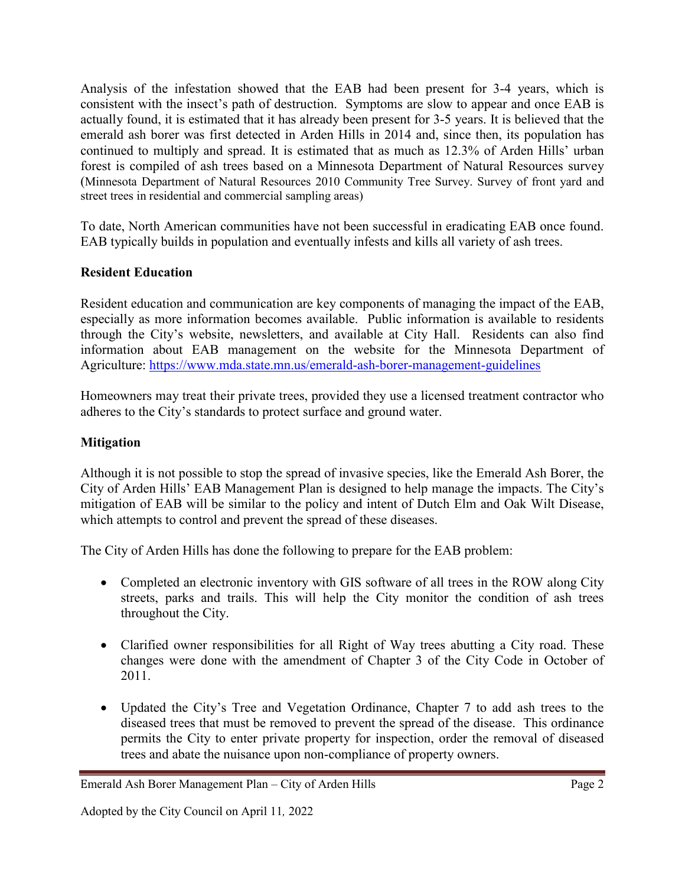Analysis of the infestation showed that the EAB had been present for 3-4 years, which is consistent with the insect's path of destruction. Symptoms are slow to appear and once EAB is actually found, it is estimated that it has already been present for 3-5 years. It is believed that the emerald ash borer was first detected in Arden Hills in 2014 and, since then, its population has continued to multiply and spread. It is estimated that as much as 12.3% of Arden Hills' urban forest is compiled of ash trees based on a Minnesota Department of Natural Resources survey (Minnesota Department of Natural Resources 2010 Community Tree Survey. Survey of front yard and street trees in residential and commercial sampling areas)

To date, North American communities have not been successful in eradicating EAB once found. EAB typically builds in population and eventually infests and kills all variety of ash trees.

#### **Resident Education**

Resident education and communication are key components of managing the impact of the EAB, especially as more information becomes available. Public information is available to residents through the City's website, newsletters, and available at City Hall. Residents can also find information about EAB management on the website for the Minnesota Department of Agriculture:<https://www.mda.state.mn.us/emerald-ash-borer-management-guidelines>

Homeowners may treat their private trees, provided they use a licensed treatment contractor who adheres to the City's standards to protect surface and ground water.

## **Mitigation**

Although it is not possible to stop the spread of invasive species, like the Emerald Ash Borer, the City of Arden Hills' EAB Management Plan is designed to help manage the impacts. The City's mitigation of EAB will be similar to the policy and intent of Dutch Elm and Oak Wilt Disease, which attempts to control and prevent the spread of these diseases.

The City of Arden Hills has done the following to prepare for the EAB problem:

- Completed an electronic inventory with GIS software of all trees in the ROW along City streets, parks and trails. This will help the City monitor the condition of ash trees throughout the City.
- Clarified owner responsibilities for all Right of Way trees abutting a City road. These changes were done with the amendment of Chapter 3 of the City Code in October of 2011.
- Updated the City's Tree and Vegetation Ordinance, Chapter 7 to add ash trees to the diseased trees that must be removed to prevent the spread of the disease. This ordinance permits the City to enter private property for inspection, order the removal of diseased trees and abate the nuisance upon non-compliance of property owners.

Emerald Ash Borer Management Plan – City of Arden Hills Page 2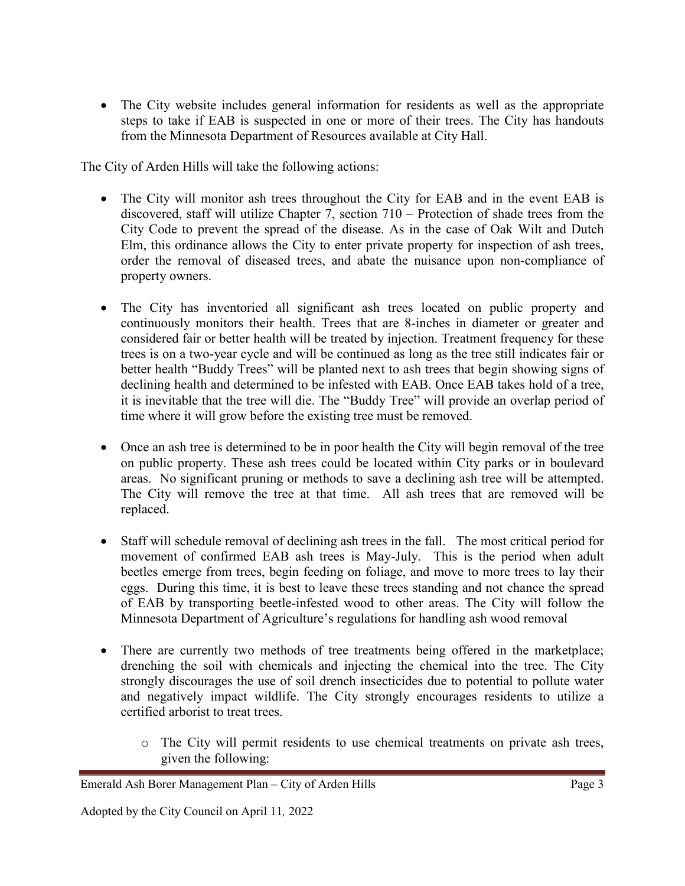• The City website includes general information for residents as well as the appropriate steps to take if EAB is suspected in one or more of their trees. The City has handouts from the Minnesota Department of Resources available at City Hall.

The City of Arden Hills will take the following actions:

- The City will monitor ash trees throughout the City for EAB and in the event EAB is discovered, staff will utilize Chapter 7, section 710 – Protection of shade trees from the City Code to prevent the spread of the disease. As in the case of Oak Wilt and Dutch Elm, this ordinance allows the City to enter private property for inspection of ash trees, order the removal of diseased trees, and abate the nuisance upon non-compliance of property owners.
- The City has inventoried all significant ash trees located on public property and continuously monitors their health. Trees that are 8-inches in diameter or greater and considered fair or better health will be treated by injection. Treatment frequency for these trees is on a two-year cycle and will be continued as long as the tree still indicates fair or better health "Buddy Trees" will be planted next to ash trees that begin showing signs of declining health and determined to be infested with EAB. Once EAB takes hold of a tree, it is inevitable that the tree will die. The "Buddy Tree" will provide an overlap period of time where it will grow before the existing tree must be removed.
- Once an ash tree is determined to be in poor health the City will begin removal of the tree on public property. These ash trees could be located within City parks or in boulevard areas. No significant pruning or methods to save a declining ash tree will be attempted. The City will remove the tree at that time. All ash trees that are removed will be replaced.
- Staff will schedule removal of declining ash trees in the fall. The most critical period for movement of confirmed EAB ash trees is May-July. This is the period when adult beetles emerge from trees, begin feeding on foliage, and move to more trees to lay their eggs. During this time, it is best to leave these trees standing and not chance the spread of EAB by transporting beetle-infested wood to other areas. The City will follow the Minnesota Department of Agriculture's regulations for handling ash wood removal
- There are currently two methods of tree treatments being offered in the marketplace; drenching the soil with chemicals and injecting the chemical into the tree. The City strongly discourages the use of soil drench insecticides due to potential to pollute water and negatively impact wildlife. The City strongly encourages residents to utilize a certified arborist to treat trees.
	- o The City will permit residents to use chemical treatments on private ash trees, given the following:

Emerald Ash Borer Management Plan – City of Arden Hills Page 3